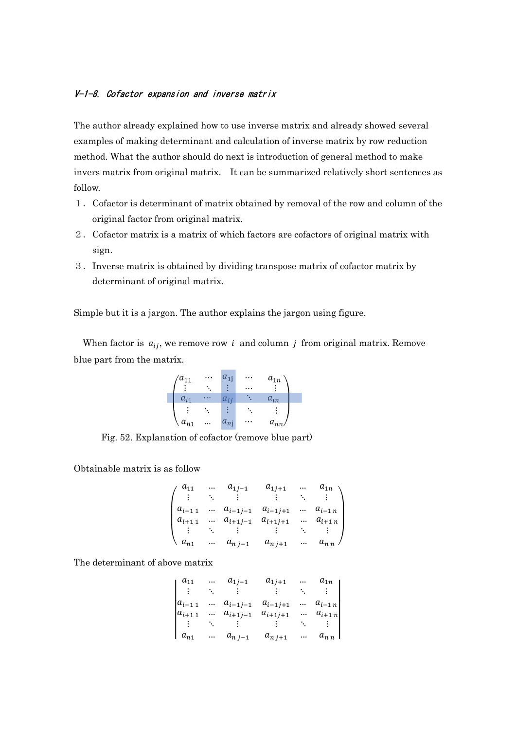## V-1-8. Cofactor expansion and inverse matrix

The author already explained how to use inverse matrix and already showed several examples of making determinant and calculation of inverse matrix by row reduction method. What the author should do next is introduction of general method to make invers matrix from original matrix. It can be summarized relatively short sentences as follow.

- 1.Cofactor is determinant of matrix obtained by removal of the row and column of the original factor from original matrix.
- 2.Cofactor matrix is a matrix of which factors are cofactors of original matrix with sign.
- 3.Inverse matrix is obtained by dividing transpose matrix of cofactor matrix by determinant of original matrix.

Simple but it is a jargon. The author explains the jargon using figure.

When factor is  $a_{ij}$ , we remove row *i* and column *j* from original matrix. Remove blue part from the matrix.



Fig. 52. Explanation of cofactor (remove blue part)

Obtainable matrix is as follow

$$
\begin{pmatrix}\na_{11} & \dots & a_{1j-1} & a_{1j+1} & \dots & a_{1n} \\
\vdots & \ddots & \vdots & \vdots & \ddots & \vdots \\
a_{i-11} & \dots & a_{i-1j-1} & a_{i-1j+1} & \dots & a_{i-1n} \\
a_{i+11} & \dots & a_{i+1j-1} & a_{i+1j+1} & \dots & a_{i+1n} \\
\vdots & \ddots & \vdots & \vdots & \ddots & \vdots \\
a_{n1} & \dots & a_{nj-1} & a_{nj+1} & \dots & a_{nn}\n\end{pmatrix}
$$

The determinant of above matrix

$$
\begin{vmatrix} a_{11} & \dots & a_{1j-1} & a_{1j+1} & \dots & a_{1n} \\ \vdots & \ddots & \vdots & \vdots & \ddots & \vdots \\ a_{i-11} & \dots & a_{i-1j-1} & a_{i-1j+1} & \dots & a_{i-1n} \\ a_{i+11} & \dots & a_{i+1j-1} & a_{i+1j+1} & \dots & a_{i+1n} \\ \vdots & \ddots & \vdots & \vdots & \ddots & \vdots \\ a_{n1} & \dots & a_{nj-1} & a_{nj+1} & \dots & a_{nn} \end{vmatrix}
$$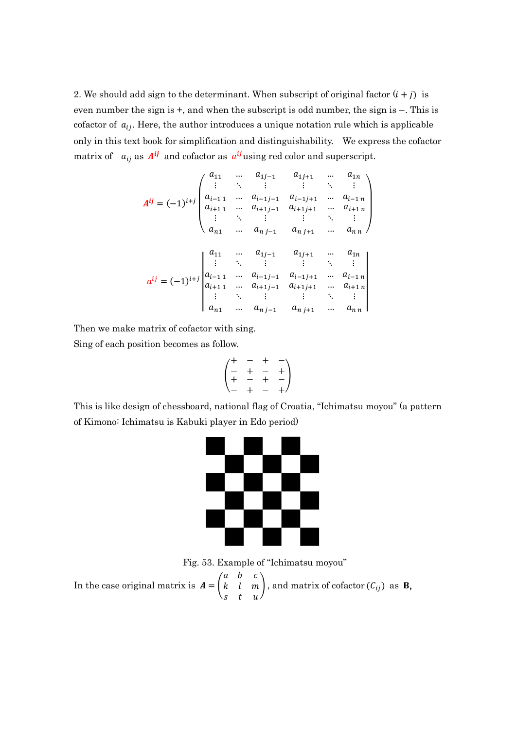2. We should add sign to the determinant. When subscript of original factor  $(i + j)$  is even number the sign is +, and when the subscript is odd number, the sign is −. This is cofactor of  $a_{ij}$ . Here, the author introduces a unique notation rule which is applicable only in this text book for simplification and distinguishability. We express the cofactor matrix of  $a_{ij}$  as  $A^{ij}$  and cofactor as  $a^{ij}$  using red color and superscript.

$$
A^{ij} = (-1)^{i+j} \begin{pmatrix} a_{11} & \dots & a_{1j-1} & a_{1j+1} & \dots & a_{1n} \\ \vdots & \ddots & \vdots & \vdots & \ddots & \vdots \\ a_{i-11} & \dots & a_{i-1j-1} & a_{i-1j+1} & \dots & a_{i-1n} \\ a_{i+11} & \dots & a_{i+1j-1} & a_{i+1j+1} & \dots & a_{i+1n} \\ \vdots & \ddots & \vdots & \vdots & \ddots & \vdots \\ a_{n1} & \dots & a_{nj-1} & a_{nj+1} & \dots & a_{nn} \end{pmatrix}
$$

$$
a^{ij} = (-1)^{i+j} \begin{vmatrix} a_{11} & \dots & a_{1j-1} & a_{1j+1} & \dots & a_{1n} \\ a_{i-11} & \dots & a_{i-1j-1} & a_{i-1j+1} & \dots & a_{i-1n} \\ a_{i+11} & \dots & a_{i+1j-1} & a_{i+1j+1} & \dots & a_{i+1n} \\ \vdots & \ddots & \vdots & \vdots & \ddots & \vdots \\ a_{n1} & \dots & a_{nj-1} & a_{nj+1} & \dots & a_{nn} \end{pmatrix}
$$

Then we make matrix of cofactor with sing.

Sing of each position becomes as follow.

$$
\begin{pmatrix} + & - & + & - \\ - & + & - & + \\ + & - & + & - \\ - & + & - & + \end{pmatrix}
$$

This is like design of chessboard, national flag of Croatia, "Ichimatsu moyou" (a pattern of Kimono: Ichimatsu is Kabuki player in Edo period)



Fig. 53. Example of "Ichimatsu moyou"

In the case original matrix is  $A = |$  $a \quad b \quad c$  $k \quad l \quad m$  $s$  t  $u$  / ), and matrix of cofactor  $(C_{ij})$  as **B**,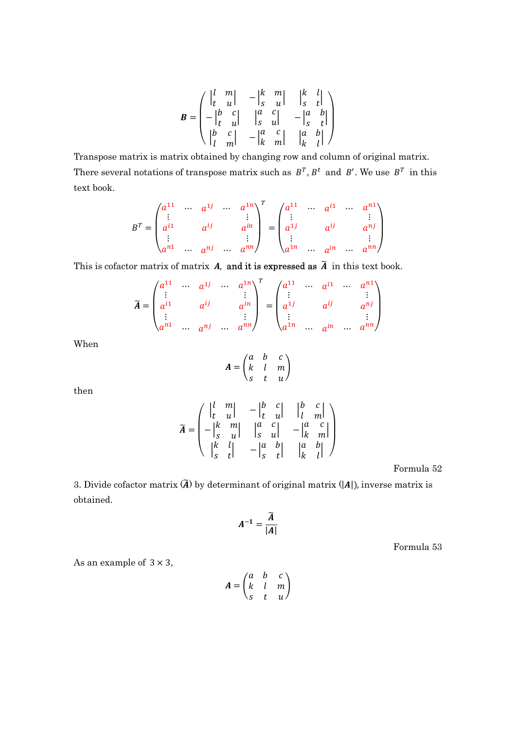$$
B = \begin{pmatrix} \begin{vmatrix} l & m \\ t & u \end{vmatrix} & -\begin{vmatrix} k & m \\ s & u \end{vmatrix} & \begin{vmatrix} k & l \\ s & t \end{vmatrix} \\ -\begin{vmatrix} b & c \\ t & u \end{vmatrix} & \begin{vmatrix} a & c \\ s & u \end{vmatrix} & -\begin{vmatrix} a & b \\ s & t \end{vmatrix} \\ \begin{vmatrix} b & c \\ l & m \end{vmatrix} & -\begin{vmatrix} a & c \\ k & m \end{vmatrix} & \begin{vmatrix} a & b \\ k & l \end{vmatrix} \end{pmatrix}
$$

Transpose matrix is matrix obtained by changing row and column of original matrix. There several notations of transpose matrix such as  $B^T$ ,  $B^t$  and  $B'$ . We use  $B^T$  in this text book.

$$
B^{T} = \begin{pmatrix} a^{11} & \cdots & a^{1j} & \cdots & a^{1n} \\ \vdots & & & \vdots & \vdots \\ a^{i1} & & a^{ij} & & a^{in} \\ \vdots & & & \vdots & \vdots \\ a^{n1} & \cdots & a^{nj} & \cdots & a^{nn} \end{pmatrix}^{T} = \begin{pmatrix} a^{11} & \cdots & a^{i1} & \cdots & a^{n1} \\ \vdots & & & \vdots & \vdots \\ a^{1j} & & a^{ij} & & a^{nj} \\ \vdots & & & \vdots & \vdots \\ a^{1n} & \cdots & a^{in} & \cdots & a^{nn} \end{pmatrix}
$$

This is cofactor matrix of matrix  $A$ , and it is expressed as  $\widetilde{A}$  in this text book.

$$
\widetilde{A} = \begin{pmatrix} a^{11} & \cdots & a^{1j} & \cdots & a^{1n} \\ \vdots & & & \vdots & \\ a^{i1} & & a^{ij} & & a^{in} \\ \vdots & & & \vdots & \\ a^{n1} & \cdots & a^{nj} & \cdots & a^{nn} \end{pmatrix}^T = \begin{pmatrix} a^{11} & \cdots & a^{i1} & \cdots & a^{n1} \\ \vdots & & & \vdots & \\ a^{1j} & & a^{ij} & & a^{nj} \\ \vdots & & & \vdots & \\ a^{1n} & \cdots & a^{in} & \cdots & a^{nn} \end{pmatrix}
$$

When

$$
A = \begin{pmatrix} a & b & c \\ k & l & m \\ s & t & u \end{pmatrix}
$$

then

$$
\widetilde{A} = \begin{pmatrix} \begin{vmatrix} l & m \\ t & u \end{vmatrix} & -\begin{vmatrix} b & c \\ t & u \end{vmatrix} & \begin{vmatrix} b & c \\ l & m \end{vmatrix} \\ -\begin{vmatrix} k & m \\ s & u \end{vmatrix} & \begin{vmatrix} a & c \\ s & u \end{vmatrix} & -\begin{vmatrix} a & c \\ k & m \end{vmatrix} \\ \begin{vmatrix} k & l \\ s & t \end{vmatrix} & -\begin{vmatrix} a & b \\ s & t \end{vmatrix} & \begin{vmatrix} a & b \\ k & l \end{vmatrix} \end{pmatrix}
$$

Formula 52

3. Divide cofactor matrix  $(\widetilde{A})$  by determinant of original matrix  $(|A|)$ , inverse matrix is obtained.

$$
A^{-1}=\frac{\widetilde{A}}{|A|}
$$

Formula 53

As an example of  $3 \times 3$ ,

$$
A = \begin{pmatrix} a & b & c \\ k & l & m \\ s & t & u \end{pmatrix}
$$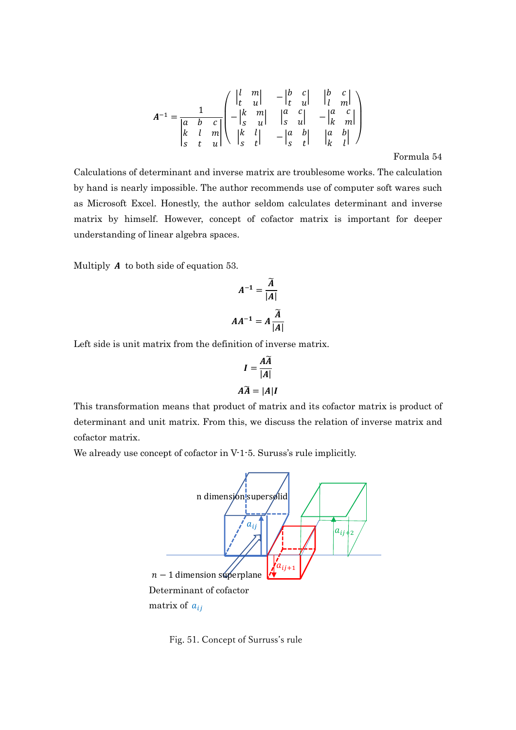$$
A^{-1} = \frac{1}{\begin{vmatrix} a & b & c \\ k & l & m \\ s & t & u \end{vmatrix}} \begin{pmatrix} \begin{vmatrix} l & m \\ t & u \end{vmatrix} & -\begin{vmatrix} b & c \\ t & u \end{vmatrix} & \begin{vmatrix} b & c \\ l & m \end{vmatrix} \\ \begin{vmatrix} k & m \\ s & u \end{vmatrix} & \begin{vmatrix} a & c \\ s & u \end{vmatrix} & -\begin{vmatrix} a & c \\ k & m \end{vmatrix} \\ \begin{vmatrix} k & l \\ s & t \end{vmatrix} & -\begin{vmatrix} a & b \\ s & t \end{vmatrix} & \begin{vmatrix} a & b \\ k & l \end{vmatrix} \end{pmatrix}
$$

Formula 54

Calculations of determinant and inverse matrix are troublesome works. The calculation by hand is nearly impossible. The author recommends use of computer soft wares such as Microsoft Excel. Honestly, the author seldom calculates determinant and inverse matrix by himself. However, concept of cofactor matrix is important for deeper understanding of linear algebra spaces.

Multiply  $A$  to both side of equation 53.

$$
A^{-1} = \frac{\widetilde{A}}{|A|}
$$

$$
AA^{-1} = A \frac{\widetilde{A}}{|A|}
$$

i,

Left side is unit matrix from the definition of inverse matrix.

$$
I = \frac{A\widetilde{A}}{|A|}
$$

$$
A\widetilde{A} = |A|I
$$

This transformation means that product of matrix and its cofactor matrix is product of determinant and unit matrix. From this, we discuss the relation of inverse matrix and cofactor matrix.

We already use concept of cofactor in V-1-5. Suruss's rule implicitly.



Fig. 51. Concept of Surruss's rule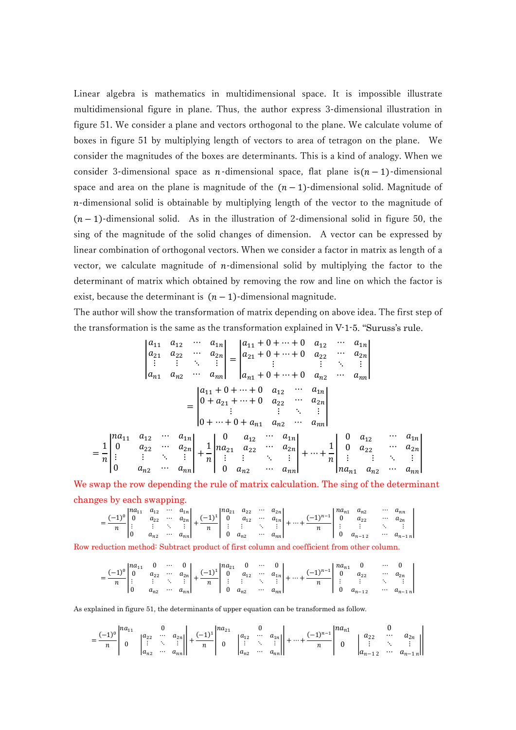Linear algebra is mathematics in multidimensional space. It is impossible illustrate multidimensional figure in plane. Thus, the author express 3-dimensional illustration in figure 51. We consider a plane and vectors orthogonal to the plane. We calculate volume of boxes in figure 51 by multiplying length of vectors to area of tetragon on the plane. We consider the magnitudes of the boxes are determinants. This is a kind of analogy. When we consider 3-dimensional space as  $n$ -dimensional space, flat plane is $(n - 1)$ -dimensional space and area on the plane is magnitude of the  $(n-1)$ -dimensional solid. Magnitude of  $n$ -dimensional solid is obtainable by multiplying length of the vector to the magnitude of  $(n - 1)$ -dimensional solid. As in the illustration of 2-dimensional solid in figure 50, the sing of the magnitude of the solid changes of dimension. A vector can be expressed by linear combination of orthogonal vectors. When we consider a factor in matrix as length of a vector, we calculate magnitude of  $n$ -dimensional solid by multiplying the factor to the determinant of matrix which obtained by removing the row and line on which the factor is exist, because the determinant is  $(n - 1)$ -dimensional magnitude.

The author will show the transformation of matrix depending on above idea. The first step of the transformation is the same as the transformation explained in V-1-5. "Suruss's rule.

$$
\begin{vmatrix}\na_{11} & a_{12} & \cdots & a_{1n} \\
a_{21} & a_{22} & \cdots & a_{2n} \\
\vdots & \vdots & \ddots & \vdots \\
a_{n1} & a_{n2} & \cdots & a_{nn}\n\end{vmatrix} = \begin{vmatrix}\na_{11} + 0 + \cdots + 0 & a_{12} & \cdots & a_{1n} \\
a_{21} + 0 + \cdots + 0 & a_{22} & \cdots & a_{2n} \\
\vdots & \vdots & \ddots & \vdots \\
a_{n1} + 0 + \cdots + 0 & a_{n2} & \cdots & a_{nn}\n\end{vmatrix}
$$

$$
= \begin{vmatrix}\na_{11} + 0 + \cdots + 0 & a_{12} & \cdots & a_{1n} \\
0 + a_{21} + \cdots + 0 & a_{22} & \cdots & a_{2n} \\
\vdots & \vdots & \ddots & \vdots \\
0 + \cdots + 0 + a_{n1} & a_{n2} & \cdots & a_{nn}\n\end{vmatrix}
$$

$$
= \begin{vmatrix}\na_{11} & a_{12} & \cdots & a_{1n} \\
0 & a_{22} & \cdots & a_{2n} \\
\vdots & \vdots & \ddots & \vdots \\
0 & a_{n2} & \cdots & a_{nn}\n\end{vmatrix} + \frac{1}{n} \begin{vmatrix}\n0 & a_{12} & \cdots & a_{1n} \\
a_{21} & a_{22} & \cdots & a_{2n} \\
\vdots & \vdots & \ddots & \vdots \\
0 & a_{n2} & \cdots & a_{nn}\n\end{vmatrix} + \cdots + \frac{1}{n} \begin{vmatrix}\n0 & a_{12} & \cdots & a_{1n} \\
0 & a_{22} & \cdots & a_{2n} \\
\vdots & \vdots & \ddots & \vdots \\
a_{n1} & a_{n2} & \cdots & a_{nn}\n\end{vmatrix}
$$

We swap the row depending the rule of matrix calculation. The sing of the determinant changes by each swapping.

$$
=\frac{(-1)^{0}}{n}\begin{vmatrix}na_{11} & a_{12} & \cdots & a_{1n} \\ 0 & a_{22} & \cdots & a_{2n} \\ \vdots & \vdots & \ddots & \vdots \\ 0 & a_{n2} & \cdots & a_{nn}\end{vmatrix}+\frac{(-1)^{1}}{n}\begin{vmatrix}na_{21} & a_{22} & \cdots & a_{2n} \\ 0 & a_{12} & \cdots & a_{1n} \\ \vdots & \vdots & \ddots & \vdots \\ 0 & a_{n2} & \cdots & a_{nn}\end{vmatrix}+\cdots+\frac{(-1)^{n-1}}{n}\begin{vmatrix}na_{n1} & a_{n2} & \cdots & a_{nn} \\ 0 & a_{22} & \cdots & a_{2n} \\ \vdots & \vdots & \ddots & \vdots \\ 0 & a_{n-12} & \cdots & a_{n-1n}\end{vmatrix}
$$

Row reduction method: Subtract product of first column and coefficient from other column.

$$
= \frac{(-1)^0}{n} \begin{vmatrix} na_{11} & 0 & \cdots & 0 \\ 0 & a_{22} & \cdots & a_{2n} \\ \vdots & \vdots & \ddots & \vdots \\ 0 & a_{n2} & \cdots & a_{nn} \end{vmatrix} + \frac{(-1)^1}{n} \begin{vmatrix} na_{21} & 0 & \cdots & 0 \\ 0 & a_{12} & \cdots & a_{1n} \\ \vdots & \vdots & \ddots & \vdots \\ 0 & a_{n2} & \cdots & a_{nn} \end{vmatrix} + \cdots + \frac{(-1)^{n-1}}{n} \begin{vmatrix} na_{n1} & 0 & \cdots & 0 \\ 0 & a_{22} & \cdots & a_{2n} \\ \vdots & \vdots & \ddots & \vdots \\ 0 & a_{n-12} & \cdots & a_{n-1n} \end{vmatrix}
$$

As explained in figure 51, the determinants of upper equation can be transformed as follow.

=

$$
=\frac{(-1)^{0}}{n}\begin{vmatrix}na_{11} & 0 & a_{21} \ a_{22} & \cdots & a_{2n} \ a_{n2} & \cdots & a_{nn} \end{vmatrix}+\frac{(-1)^{1}}{n}\begin{vmatrix}na_{21} & 0 & a_{1n} \ 0 & \vdots & \ddots & \vdots \ a_{n2} & \cdots & a_{nn} \end{vmatrix}+\cdots+\frac{(-1)^{n-1}}{n}\begin{vmatrix}na_{n1} & 0 & a_{n2} \ 0 & \vdots & \ddots & \vdots \ a_{n-12} & \cdots & a_{n-1n} \end{vmatrix}
$$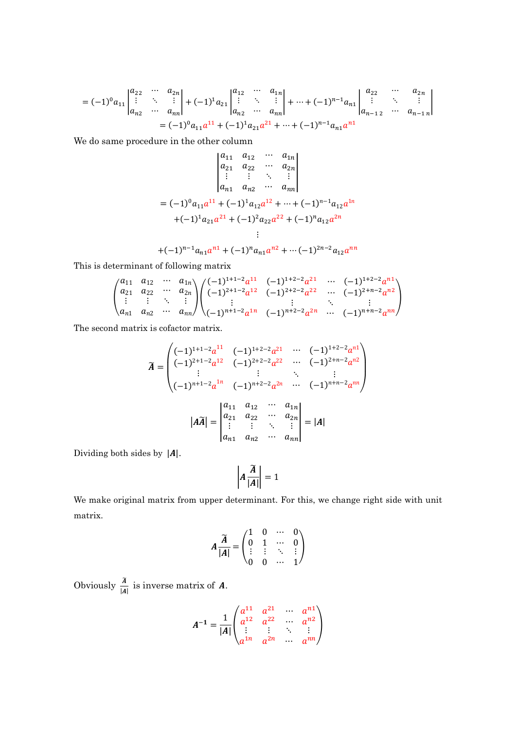$$
=(-1)^{0}a_{11}\begin{vmatrix} a_{22} & \cdots & a_{2n} \\ \vdots & \ddots & \vdots \\ a_{n2} & \cdots & a_{nn} \end{vmatrix} + (-1)^{1}a_{21}\begin{vmatrix} a_{12} & \cdots & a_{1n} \\ \vdots & \ddots & \vdots \\ a_{n2} & \cdots & a_{nn} \end{vmatrix} + \cdots + (-1)^{n-1}a_{n1}\begin{vmatrix} a_{22} & \cdots & a_{2n} \\ \vdots & \ddots & \vdots \\ a_{n-12} & \cdots & a_{n-1n} \end{vmatrix}
$$

$$
=(-1)^{0}a_{11}a^{11} + (-1)^{1}a_{21}a^{21} + \cdots + (-1)^{n-1}a_{n1}a^{n1}
$$

We do same procedure in the other column

$$
\begin{vmatrix} a_{11} & a_{12} & \cdots & a_{1n} \\ a_{21} & a_{22} & \cdots & a_{2n} \\ \vdots & \vdots & \ddots & \vdots \\ a_{n1} & a_{n2} & \cdots & a_{nn} \end{vmatrix}
$$
  
=  $(-1)^{0}a_{11}a^{11} + (-1)^{1}a_{12}a^{12} + \cdots + (-1)^{n-1}a_{12}a^{1n}$   
+ $(-1)^{1}a_{21}a^{21} + (-1)^{2}a_{22}a^{22} + (-1)^{n}a_{12}a^{2n}$   
:  
+ $(-1)^{n-1}a_{n1}a^{n1} + (-1)^{n}a_{n1}a^{n2} + \cdots + (-1)^{2n-2}a_{12}a^{nn}$ 

This is determinant of following matrix

$$
\begin{pmatrix} a_{11} & a_{12} & \cdots & a_{1n} \\ a_{21} & a_{22} & \cdots & a_{2n} \\ \vdots & \vdots & \ddots & \vdots \\ a_{n1} & a_{n2} & \cdots & a_{nn} \end{pmatrix} \begin{pmatrix} (-1)^{1+1-2} a^{11} & (-1)^{1+2-2} a^{21} & \cdots & (-1)^{1+2-2} a^{n1} \\ (-1)^{2+1-2} a^{12} & (-1)^{2+2-2} a^{22} & \cdots & (-1)^{2+n-2} a^{n2} \\ \vdots & \vdots & \ddots & \vdots \\ (-1)^{n+1-2} a^{1n} & (-1)^{n+2-2} a^{2n} & \cdots & (-1)^{n+n-2} a^{nn} \end{pmatrix}
$$

The second matrix is cofactor matrix.

$$
\widetilde{A} = \begin{pmatrix}\n(-1)^{1+1-2}a^{11} & (-1)^{1+2-2}a^{21} & \cdots & (-1)^{1+2-2}a^{n1} \\
(-1)^{2+1-2}a^{12} & (-1)^{2+2-2}a^{22} & \cdots & (-1)^{2+n-2}a^{n2} \\
\vdots & \vdots & \ddots & \vdots \\
(-1)^{n+1-2}a^{1n} & (-1)^{n+2-2}a^{2n} & \cdots & (-1)^{n+n-2}a^{nn}\n\end{pmatrix}
$$
\n
$$
|A\widetilde{A}| = \begin{vmatrix}\na_{11} & a_{12} & \cdots & a_{1n} \\
a_{21} & a_{22} & \cdots & a_{2n} \\
\vdots & \vdots & \ddots & \vdots \\
a_{n1} & a_{n2} & \cdots & a_{nn}\n\end{vmatrix} = |A|
$$

Dividing both sides by  $|A|$ .

$$
\left| A \frac{\widetilde{A}}{|A|} \right| = 1
$$

We make original matrix from upper determinant. For this, we change right side with unit matrix.

$$
A\frac{\widetilde{A}}{|A|} = \begin{pmatrix} 1 & 0 & \cdots & 0 \\ 0 & 1 & \cdots & 0 \\ \vdots & \vdots & \ddots & \vdots \\ 0 & 0 & \cdots & 1 \end{pmatrix}
$$

Obviously  $\frac{\tilde{A}}{4}$  $\frac{A}{|A|}$  is inverse matrix of **A**.

$$
A^{-1} = \frac{1}{|A|} \begin{pmatrix} a^{11} & a^{21} & \cdots & a^{n1} \\ a^{12} & a^{22} & \cdots & a^{n2} \\ \vdots & \vdots & \ddots & \vdots \\ a^{1n} & a^{2n} & \cdots & a^{nn} \end{pmatrix}
$$